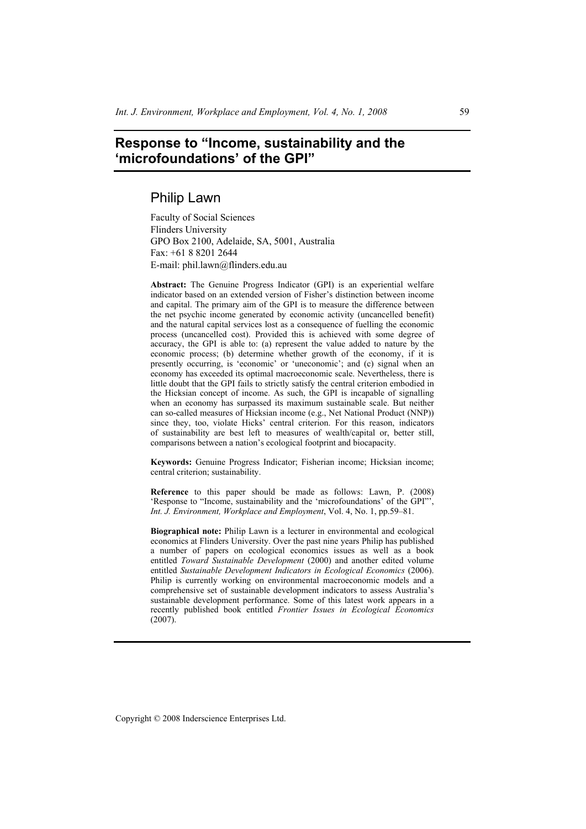# **Response to "Income, sustainability and the 'microfoundations' of the GPI"**

## Philip Lawn

Faculty of Social Sciences Flinders University GPO Box 2100, Adelaide, SA, 5001, Australia Fax: +61 8 8201 2644 E-mail: phil.lawn@flinders.edu.au

**Abstract:** The Genuine Progress Indicator (GPI) is an experiential welfare indicator based on an extended version of Fisher's distinction between income and capital. The primary aim of the GPI is to measure the difference between the net psychic income generated by economic activity (uncancelled benefit) and the natural capital services lost as a consequence of fuelling the economic process (uncancelled cost). Provided this is achieved with some degree of accuracy, the GPI is able to: (a) represent the value added to nature by the economic process; (b) determine whether growth of the economy, if it is presently occurring, is 'economic' or 'uneconomic'; and (c) signal when an economy has exceeded its optimal macroeconomic scale. Nevertheless, there is little doubt that the GPI fails to strictly satisfy the central criterion embodied in the Hicksian concept of income. As such, the GPI is incapable of signalling when an economy has surpassed its maximum sustainable scale. But neither can so-called measures of Hicksian income (e.g., Net National Product (NNP)) since they, too, violate Hicks' central criterion. For this reason, indicators of sustainability are best left to measures of wealth/capital or, better still, comparisons between a nation's ecological footprint and biocapacity.

**Keywords:** Genuine Progress Indicator; Fisherian income; Hicksian income; central criterion; sustainability.

**Reference** to this paper should be made as follows: Lawn, P. (2008) 'Response to "Income, sustainability and the 'microfoundations' of the GPI"', *Int. J. Environment, Workplace and Employment*, Vol. 4, No. 1, pp.59–81.

**Biographical note:** Philip Lawn is a lecturer in environmental and ecological economics at Flinders University. Over the past nine years Philip has published a number of papers on ecological economics issues as well as a book entitled *Toward Sustainable Development* (2000) and another edited volume entitled *Sustainable Development Indicators in Ecological Economics* (2006). Philip is currently working on environmental macroeconomic models and a comprehensive set of sustainable development indicators to assess Australia's sustainable development performance. Some of this latest work appears in a recently published book entitled *Frontier Issues in Ecological Economics* (2007).

Copyright © 2008 Inderscience Enterprises Ltd.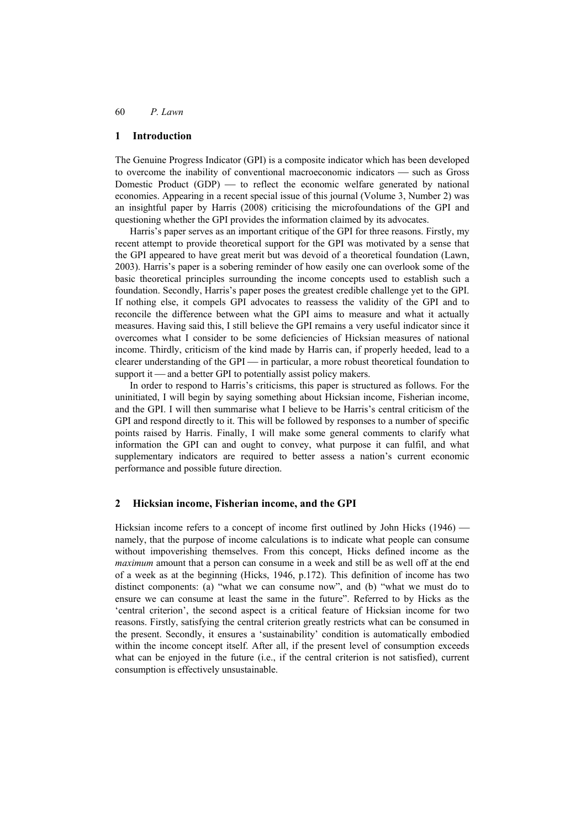#### **1 Introduction**

The Genuine Progress Indicator (GPI) is a composite indicator which has been developed to overcome the inability of conventional macroeconomic indicators — such as Gross Domestic Product  $(GDP)$  — to reflect the economic welfare generated by national economies. Appearing in a recent special issue of this journal (Volume 3, Number 2) was an insightful paper by Harris (2008) criticising the microfoundations of the GPI and questioning whether the GPI provides the information claimed by its advocates.

Harris's paper serves as an important critique of the GPI for three reasons. Firstly, my recent attempt to provide theoretical support for the GPI was motivated by a sense that the GPI appeared to have great merit but was devoid of a theoretical foundation (Lawn, 2003). Harris's paper is a sobering reminder of how easily one can overlook some of the basic theoretical principles surrounding the income concepts used to establish such a foundation. Secondly, Harris's paper poses the greatest credible challenge yet to the GPI. If nothing else, it compels GPI advocates to reassess the validity of the GPI and to reconcile the difference between what the GPI aims to measure and what it actually measures. Having said this, I still believe the GPI remains a very useful indicator since it overcomes what I consider to be some deficiencies of Hicksian measures of national income. Thirdly, criticism of the kind made by Harris can, if properly heeded, lead to a clearer understanding of the  $GPI$   $\longrightarrow$  in particular, a more robust theoretical foundation to support it — and a better GPI to potentially assist policy makers.

In order to respond to Harris's criticisms, this paper is structured as follows. For the uninitiated, I will begin by saying something about Hicksian income, Fisherian income, and the GPI. I will then summarise what I believe to be Harris's central criticism of the GPI and respond directly to it. This will be followed by responses to a number of specific points raised by Harris. Finally, I will make some general comments to clarify what information the GPI can and ought to convey, what purpose it can fulfil, and what supplementary indicators are required to better assess a nation's current economic performance and possible future direction.

#### **2 Hicksian income, Fisherian income, and the GPI**

Hicksian income refers to a concept of income first outlined by John Hicks  $(1946)$  namely, that the purpose of income calculations is to indicate what people can consume without impoverishing themselves. From this concept, Hicks defined income as the *maximum* amount that a person can consume in a week and still be as well off at the end of a week as at the beginning (Hicks, 1946, p.172). This definition of income has two distinct components: (a) "what we can consume now", and (b) "what we must do to ensure we can consume at least the same in the future". Referred to by Hicks as the 'central criterion', the second aspect is a critical feature of Hicksian income for two reasons. Firstly, satisfying the central criterion greatly restricts what can be consumed in the present. Secondly, it ensures a 'sustainability' condition is automatically embodied within the income concept itself. After all, if the present level of consumption exceeds what can be enjoyed in the future (i.e., if the central criterion is not satisfied), current consumption is effectively unsustainable.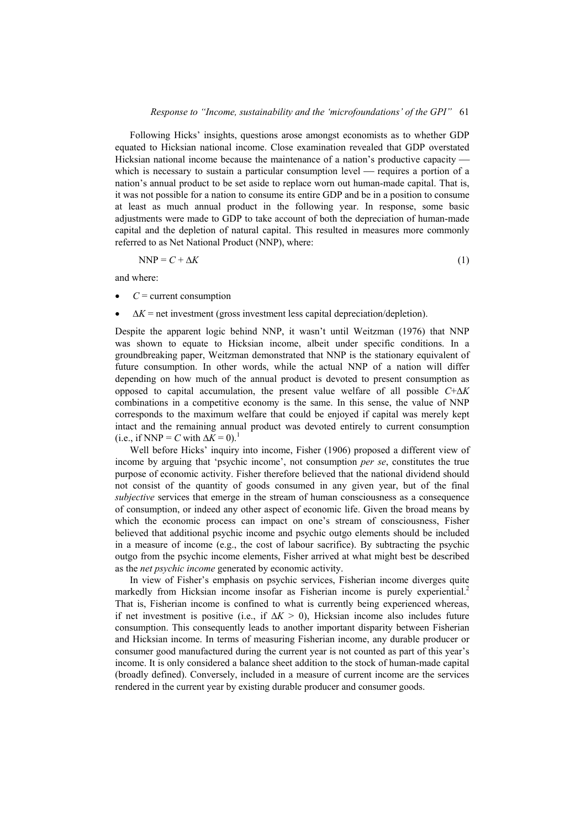Following Hicks' insights, questions arose amongst economists as to whether GDP equated to Hicksian national income. Close examination revealed that GDP overstated Hicksian national income because the maintenance of a nation's productive capacity  $\overline{\phantom{a}}$ which is necessary to sustain a particular consumption level  $-$  requires a portion of a nation's annual product to be set aside to replace worn out human-made capital. That is, it was not possible for a nation to consume its entire GDP and be in a position to consume at least as much annual product in the following year. In response, some basic adjustments were made to GDP to take account of both the depreciation of human-made capital and the depletion of natural capital. This resulted in measures more commonly referred to as Net National Product (NNP), where:

$$
NNP = C + \Delta K \tag{1}
$$

and where:

- $C =$  current consumption
- $\Delta K$  = net investment (gross investment less capital depreciation/depletion).

Despite the apparent logic behind NNP, it wasn't until Weitzman (1976) that NNP was shown to equate to Hicksian income, albeit under specific conditions. In a groundbreaking paper, Weitzman demonstrated that NNP is the stationary equivalent of future consumption. In other words, while the actual NNP of a nation will differ depending on how much of the annual product is devoted to present consumption as opposed to capital accumulation, the present value welfare of all possible *C*+Δ*K* combinations in a competitive economy is the same. In this sense, the value of NNP corresponds to the maximum welfare that could be enjoyed if capital was merely kept intact and the remaining annual product was devoted entirely to current consumption (i.e., if NNP = C with  $\Delta K = 0$ ).<sup>1</sup>

Well before Hicks' inquiry into income, Fisher (1906) proposed a different view of income by arguing that 'psychic income', not consumption *per se*, constitutes the true purpose of economic activity. Fisher therefore believed that the national dividend should not consist of the quantity of goods consumed in any given year, but of the final *subjective* services that emerge in the stream of human consciousness as a consequence of consumption, or indeed any other aspect of economic life. Given the broad means by which the economic process can impact on one's stream of consciousness, Fisher believed that additional psychic income and psychic outgo elements should be included in a measure of income (e.g., the cost of labour sacrifice). By subtracting the psychic outgo from the psychic income elements, Fisher arrived at what might best be described as the *net psychic income* generated by economic activity.

In view of Fisher's emphasis on psychic services, Fisherian income diverges quite markedly from Hicksian income insofar as Fisherian income is purely experiential.<sup>2</sup> That is, Fisherian income is confined to what is currently being experienced whereas, if net investment is positive (i.e., if  $\Delta K > 0$ ), Hicksian income also includes future consumption. This consequently leads to another important disparity between Fisherian and Hicksian income. In terms of measuring Fisherian income, any durable producer or consumer good manufactured during the current year is not counted as part of this year's income. It is only considered a balance sheet addition to the stock of human-made capital (broadly defined). Conversely, included in a measure of current income are the services rendered in the current year by existing durable producer and consumer goods.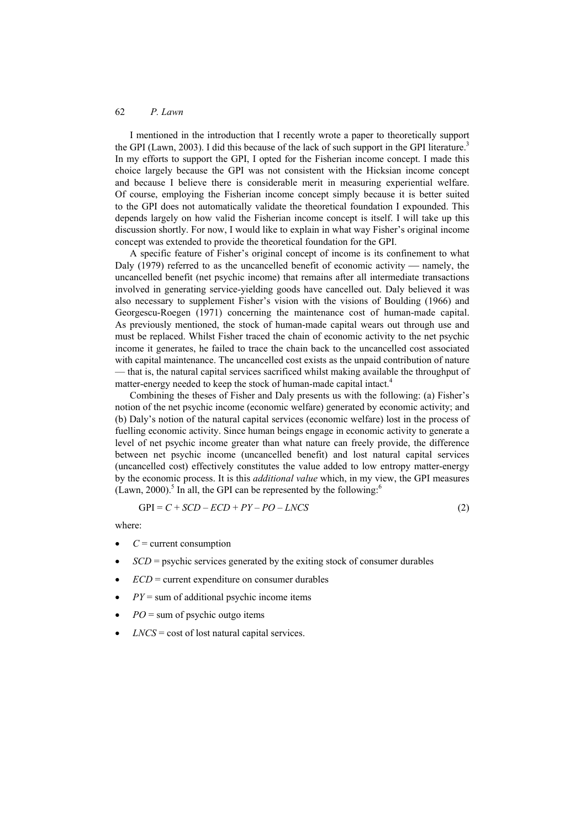I mentioned in the introduction that I recently wrote a paper to theoretically support the GPI (Lawn, 2003). I did this because of the lack of such support in the GPI literature.<sup>3</sup> In my efforts to support the GPI, I opted for the Fisherian income concept. I made this choice largely because the GPI was not consistent with the Hicksian income concept and because I believe there is considerable merit in measuring experiential welfare. Of course, employing the Fisherian income concept simply because it is better suited to the GPI does not automatically validate the theoretical foundation I expounded. This depends largely on how valid the Fisherian income concept is itself. I will take up this discussion shortly. For now, I would like to explain in what way Fisher's original income concept was extended to provide the theoretical foundation for the GPI.

A specific feature of Fisher's original concept of income is its confinement to what Daly  $(1979)$  referred to as the uncancelled benefit of economic activity — namely, the uncancelled benefit (net psychic income) that remains after all intermediate transactions involved in generating service-yielding goods have cancelled out. Daly believed it was also necessary to supplement Fisher's vision with the visions of Boulding (1966) and Georgescu-Roegen (1971) concerning the maintenance cost of human-made capital. As previously mentioned, the stock of human-made capital wears out through use and must be replaced. Whilst Fisher traced the chain of economic activity to the net psychic income it generates, he failed to trace the chain back to the uncancelled cost associated with capital maintenance. The uncancelled cost exists as the unpaid contribution of nature — that is, the natural capital services sacrificed whilst making available the throughput of matter-energy needed to keep the stock of human-made capital intact.<sup>4</sup>

Combining the theses of Fisher and Daly presents us with the following: (a) Fisher's notion of the net psychic income (economic welfare) generated by economic activity; and (b) Daly's notion of the natural capital services (economic welfare) lost in the process of fuelling economic activity. Since human beings engage in economic activity to generate a level of net psychic income greater than what nature can freely provide, the difference between net psychic income (uncancelled benefit) and lost natural capital services (uncancelled cost) effectively constitutes the value added to low entropy matter-energy by the economic process. It is this *additional value* which, in my view, the GPI measures  $(Lawn, 2000).$ <sup>5</sup> In all, the GPI can be represented by the following:<sup>6</sup>

$$
GPI = C + SCD - ECD + PY - PO - LNCS
$$
\n<sup>(2)</sup>

where:

- $C =$  current consumption
- *SCD* = psychic services generated by the exiting stock of consumer durables
- $ECD$  = current expenditure on consumer durables
- $PY =$ sum of additional psychic income items
- $PO =$ sum of psychic outgo items
- $LNCS = \text{cost of lost natural capital services.}$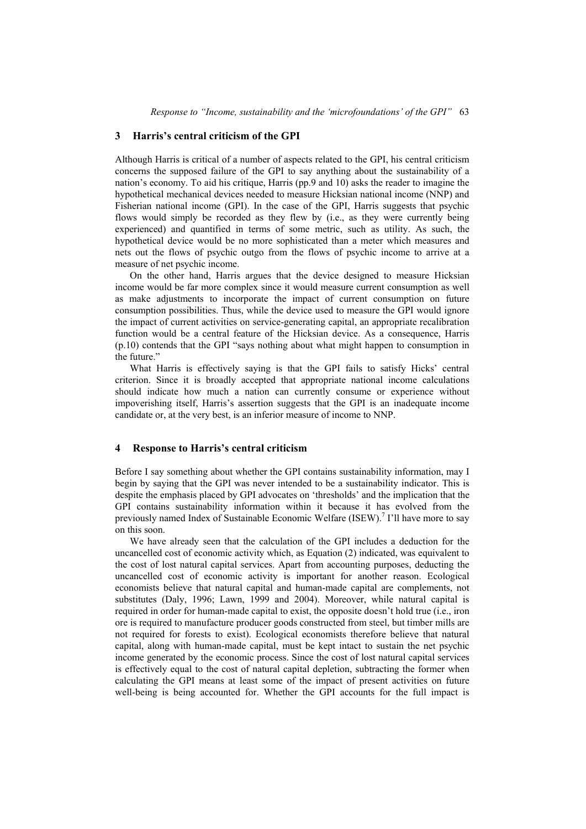*Response to "Income, sustainability and the 'microfoundations' of the GPI"* 63

#### **3 Harris's central criticism of the GPI**

Although Harris is critical of a number of aspects related to the GPI, his central criticism concerns the supposed failure of the GPI to say anything about the sustainability of a nation's economy. To aid his critique, Harris (pp.9 and 10) asks the reader to imagine the hypothetical mechanical devices needed to measure Hicksian national income (NNP) and Fisherian national income (GPI). In the case of the GPI, Harris suggests that psychic flows would simply be recorded as they flew by (i.e., as they were currently being experienced) and quantified in terms of some metric, such as utility. As such, the hypothetical device would be no more sophisticated than a meter which measures and nets out the flows of psychic outgo from the flows of psychic income to arrive at a measure of net psychic income.

On the other hand, Harris argues that the device designed to measure Hicksian income would be far more complex since it would measure current consumption as well as make adjustments to incorporate the impact of current consumption on future consumption possibilities. Thus, while the device used to measure the GPI would ignore the impact of current activities on service-generating capital, an appropriate recalibration function would be a central feature of the Hicksian device. As a consequence, Harris (p.10) contends that the GPI "says nothing about what might happen to consumption in the future."

What Harris is effectively saying is that the GPI fails to satisfy Hicks' central criterion. Since it is broadly accepted that appropriate national income calculations should indicate how much a nation can currently consume or experience without impoverishing itself, Harris's assertion suggests that the GPI is an inadequate income candidate or, at the very best, is an inferior measure of income to NNP.

#### **4 Response to Harris's central criticism**

Before I say something about whether the GPI contains sustainability information, may I begin by saying that the GPI was never intended to be a sustainability indicator. This is despite the emphasis placed by GPI advocates on 'thresholds' and the implication that the GPI contains sustainability information within it because it has evolved from the previously named Index of Sustainable Economic Welfare (ISEW).<sup>7</sup> I'll have more to say on this soon.

We have already seen that the calculation of the GPI includes a deduction for the uncancelled cost of economic activity which, as Equation (2) indicated, was equivalent to the cost of lost natural capital services. Apart from accounting purposes, deducting the uncancelled cost of economic activity is important for another reason. Ecological economists believe that natural capital and human-made capital are complements, not substitutes (Daly, 1996; Lawn, 1999 and 2004). Moreover, while natural capital is required in order for human-made capital to exist, the opposite doesn't hold true (i.e., iron ore is required to manufacture producer goods constructed from steel, but timber mills are not required for forests to exist). Ecological economists therefore believe that natural capital, along with human-made capital, must be kept intact to sustain the net psychic income generated by the economic process. Since the cost of lost natural capital services is effectively equal to the cost of natural capital depletion, subtracting the former when calculating the GPI means at least some of the impact of present activities on future well-being is being accounted for. Whether the GPI accounts for the full impact is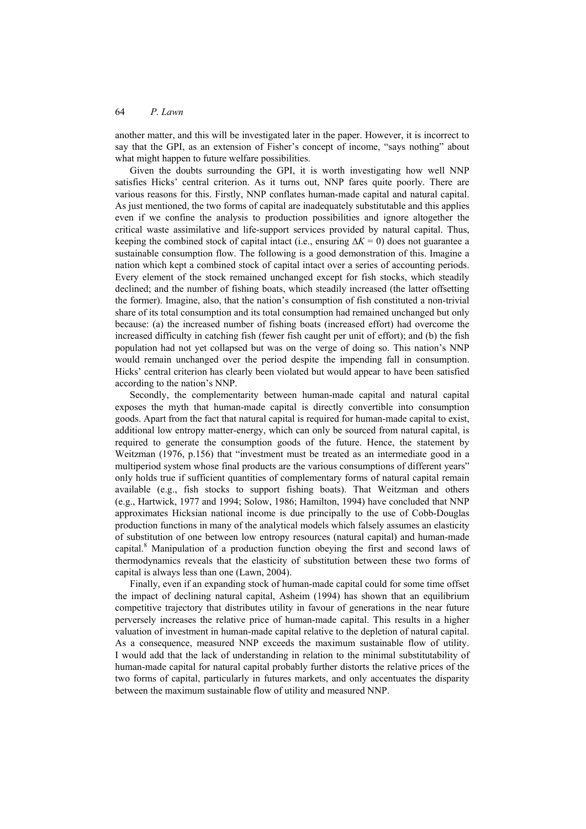another matter, and this will be investigated later in the paper. However, it is incorrect to say that the GPI, as an extension of Fisher's concept of income, "says nothing" about what might happen to future welfare possibilities.

Given the doubts surrounding the GPI, it is worth investigating how well NNP satisfies Hicks' central criterion. As it turns out, NNP fares quite poorly. There are various reasons for this. Firstly, NNP conflates human-made capital and natural capital. As just mentioned, the two forms of capital are inadequately substitutable and this applies even if we confine the analysis to production possibilities and ignore altogether the critical waste assimilative and life-support services provided by natural capital. Thus, keeping the combined stock of capital intact (i.e., ensuring  $\Delta K = 0$ ) does not guarantee a sustainable consumption flow. The following is a good demonstration of this. Imagine a nation which kept a combined stock of capital intact over a series of accounting periods. Every element of the stock remained unchanged except for fish stocks, which steadily declined; and the number of fishing boats, which steadily increased (the latter offsetting the former). Imagine, also, that the nation's consumption of fish constituted a non-trivial share of its total consumption and its total consumption had remained unchanged but only because: (a) the increased number of fishing boats (increased effort) had overcome the increased difficulty in catching fish (fewer fish caught per unit of effort); and (b) the fish population had not yet collapsed but was on the verge of doing so. This nation's NNP would remain unchanged over the period despite the impending fall in consumption. Hicks' central criterion has clearly been violated but would appear to have been satisfied according to the nation's NNP.

Secondly, the complementarity between human-made capital and natural capital exposes the myth that human-made capital is directly convertible into consumption goods. Apart from the fact that natural capital is required for human-made capital to exist, additional low entropy matter-energy, which can only be sourced from natural capital, is required to generate the consumption goods of the future. Hence, the statement by Weitzman (1976, p.156) that "investment must be treated as an intermediate good in a multiperiod system whose final products are the various consumptions of different years" only holds true if sufficient quantities of complementary forms of natural capital remain available (e.g., fish stocks to support fishing boats). That Weitzman and others (e.g., Hartwick, 1977 and 1994; Solow, 1986; Hamilton, 1994) have concluded that NNP approximates Hicksian national income is due principally to the use of Cobb-Douglas production functions in many of the analytical models which falsely assumes an elasticity of substitution of one between low entropy resources (natural capital) and human-made capital.<sup>8</sup> Manipulation of a production function obeying the first and second laws of thermodynamics reveals that the elasticity of substitution between these two forms of capital is always less than one (Lawn, 2004).

Finally, even if an expanding stock of human-made capital could for some time offset the impact of declining natural capital, Asheim (1994) has shown that an equilibrium competitive trajectory that distributes utility in favour of generations in the near future perversely increases the relative price of human-made capital. This results in a higher valuation of investment in human-made capital relative to the depletion of natural capital. As a consequence, measured NNP exceeds the maximum sustainable flow of utility. I would add that the lack of understanding in relation to the minimal substitutability of human-made capital for natural capital probably further distorts the relative prices of the two forms of capital, particularly in futures markets, and only accentuates the disparity between the maximum sustainable flow of utility and measured NNP.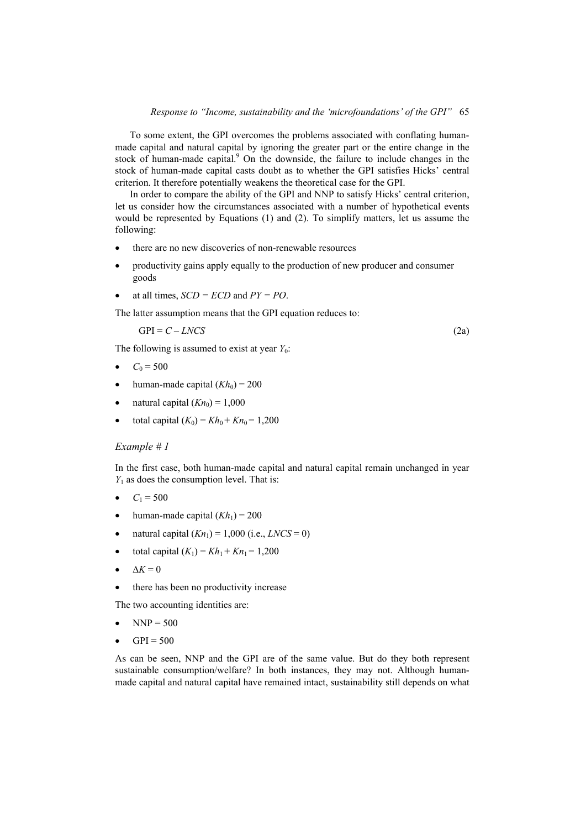To some extent, the GPI overcomes the problems associated with conflating humanmade capital and natural capital by ignoring the greater part or the entire change in the stock of human-made capital.<sup>9</sup> On the downside, the failure to include changes in the stock of human-made capital casts doubt as to whether the GPI satisfies Hicks' central criterion. It therefore potentially weakens the theoretical case for the GPI.

In order to compare the ability of the GPI and NNP to satisfy Hicks' central criterion, let us consider how the circumstances associated with a number of hypothetical events would be represented by Equations (1) and (2). To simplify matters, let us assume the following:

- there are no new discoveries of non-renewable resources
- productivity gains apply equally to the production of new producer and consumer goods
- at all times, *SCD = ECD* and *PY = PO*.

The latter assumption means that the GPI equation reduces to:

$$
GPI = C - LNCS \tag{2a}
$$

The following is assumed to exist at year *Y*<sub>0</sub>:

- $C_0 = 500$
- human-made capital  $(Kh_0) = 200$
- natural capital  $(Kn_0) = 1,000$
- total capital  $(K_0) = Kh_0 + Kn_0 = 1,200$

#### *Example # 1*

In the first case, both human-made capital and natural capital remain unchanged in year *Y*<sub>1</sub> as does the consumption level. That is:

- $C_1 = 500$
- human-made capital  $(Kh_1) = 200$
- natural capital  $(Kn_1) = 1,000$  (i.e., *LNCS* = 0)
- total capital  $(K_1) = Kh_1 + Kn_1 = 1,200$
- $\Delta K = 0$
- there has been no productivity increase

The two accounting identities are:

- $NNP = 500$
- $GPI = 500$

As can be seen, NNP and the GPI are of the same value. But do they both represent sustainable consumption/welfare? In both instances, they may not. Although humanmade capital and natural capital have remained intact, sustainability still depends on what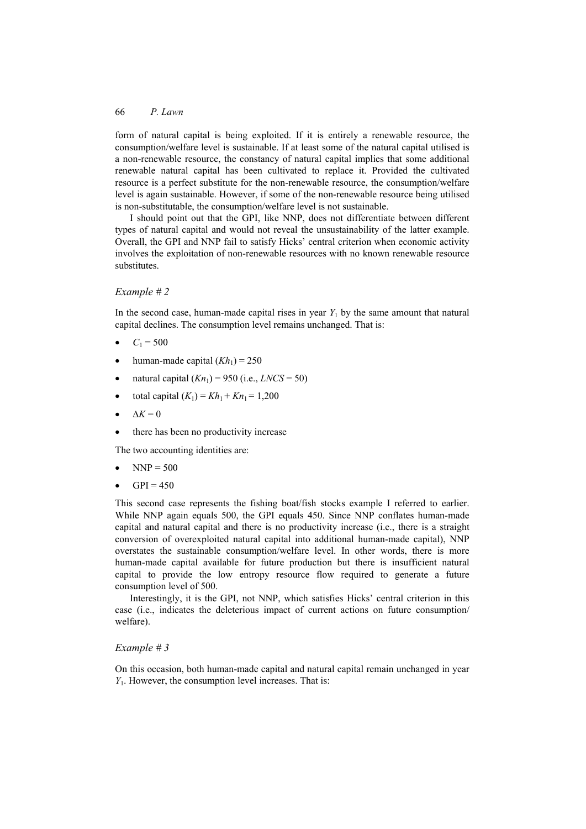form of natural capital is being exploited. If it is entirely a renewable resource, the consumption/welfare level is sustainable. If at least some of the natural capital utilised is a non-renewable resource, the constancy of natural capital implies that some additional renewable natural capital has been cultivated to replace it. Provided the cultivated resource is a perfect substitute for the non-renewable resource, the consumption/welfare level is again sustainable. However, if some of the non-renewable resource being utilised is non-substitutable, the consumption/welfare level is not sustainable.

I should point out that the GPI, like NNP, does not differentiate between different types of natural capital and would not reveal the unsustainability of the latter example. Overall, the GPI and NNP fail to satisfy Hicks' central criterion when economic activity involves the exploitation of non-renewable resources with no known renewable resource substitutes.

#### *Example # 2*

In the second case, human-made capital rises in year  $Y_1$  by the same amount that natural capital declines. The consumption level remains unchanged. That is:

- $C_1 = 500$
- human-made capital  $(Kh_1) = 250$
- natural capital  $(Kn_1) = 950$  (i.e., *LNCS* = 50)
- total capital  $(K_1) = Kh_1 + Kn_1 = 1,200$
- $\Delta K = 0$
- there has been no productivity increase

The two accounting identities are:

- $NNP = 500$
- $GPI = 450$

This second case represents the fishing boat/fish stocks example I referred to earlier. While NNP again equals 500, the GPI equals 450. Since NNP conflates human-made capital and natural capital and there is no productivity increase (i.e., there is a straight conversion of overexploited natural capital into additional human-made capital), NNP overstates the sustainable consumption/welfare level. In other words, there is more human-made capital available for future production but there is insufficient natural capital to provide the low entropy resource flow required to generate a future consumption level of 500.

Interestingly, it is the GPI, not NNP, which satisfies Hicks' central criterion in this case (i.e., indicates the deleterious impact of current actions on future consumption/ welfare).

### *Example # 3*

On this occasion, both human-made capital and natural capital remain unchanged in year *Y*1. However, the consumption level increases. That is: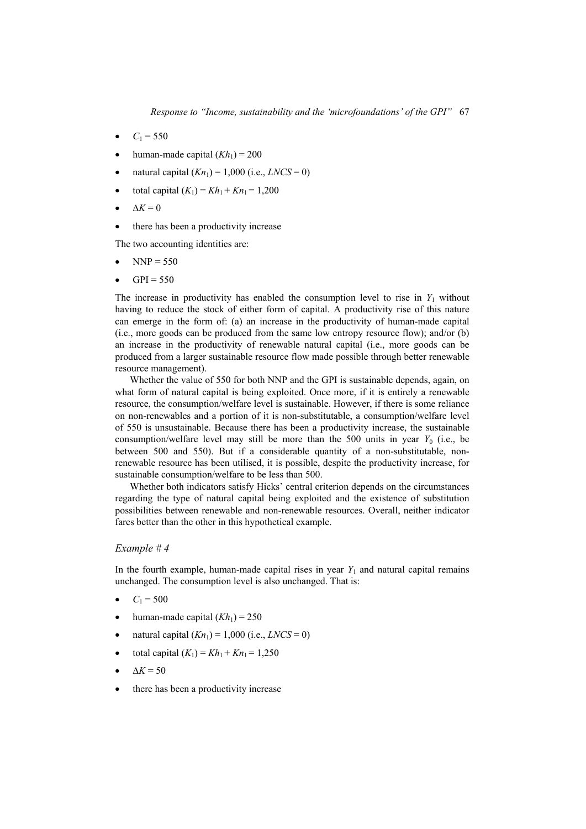- $C_1 = 550$
- human-made capital  $(Kh_1) = 200$
- natural capital  $(Kn_1) = 1,000$  (i.e., *LNCS* = 0)
- total capital  $(K_1) = Kh_1 + Kn_1 = 1,200$
- $\Delta K = 0$
- there has been a productivity increase

The two accounting identities are:

- $NNP = 550$
- $GPI = 550$

The increase in productivity has enabled the consumption level to rise in  $Y_1$  without having to reduce the stock of either form of capital. A productivity rise of this nature can emerge in the form of: (a) an increase in the productivity of human-made capital (i.e., more goods can be produced from the same low entropy resource flow); and/or (b) an increase in the productivity of renewable natural capital (i.e., more goods can be produced from a larger sustainable resource flow made possible through better renewable resource management).

Whether the value of 550 for both NNP and the GPI is sustainable depends, again, on what form of natural capital is being exploited. Once more, if it is entirely a renewable resource, the consumption/welfare level is sustainable. However, if there is some reliance on non-renewables and a portion of it is non-substitutable, a consumption/welfare level of 550 is unsustainable. Because there has been a productivity increase, the sustainable consumption/welfare level may still be more than the 500 units in year  $Y_0$  (i.e., be between 500 and 550). But if a considerable quantity of a non-substitutable, nonrenewable resource has been utilised, it is possible, despite the productivity increase, for sustainable consumption/welfare to be less than 500.

Whether both indicators satisfy Hicks' central criterion depends on the circumstances regarding the type of natural capital being exploited and the existence of substitution possibilities between renewable and non-renewable resources. Overall, neither indicator fares better than the other in this hypothetical example.

#### *Example # 4*

In the fourth example, human-made capital rises in year  $Y_1$  and natural capital remains unchanged. The consumption level is also unchanged. That is:

- $C_1 = 500$
- human-made capital  $(Kh_1) = 250$
- natural capital  $(Kn_1) = 1,000$  (i.e., *LNCS* = 0)
- total capital  $(K_1) = Kh_1 + Kn_1 = 1,250$
- $\Delta K$  = 50
- there has been a productivity increase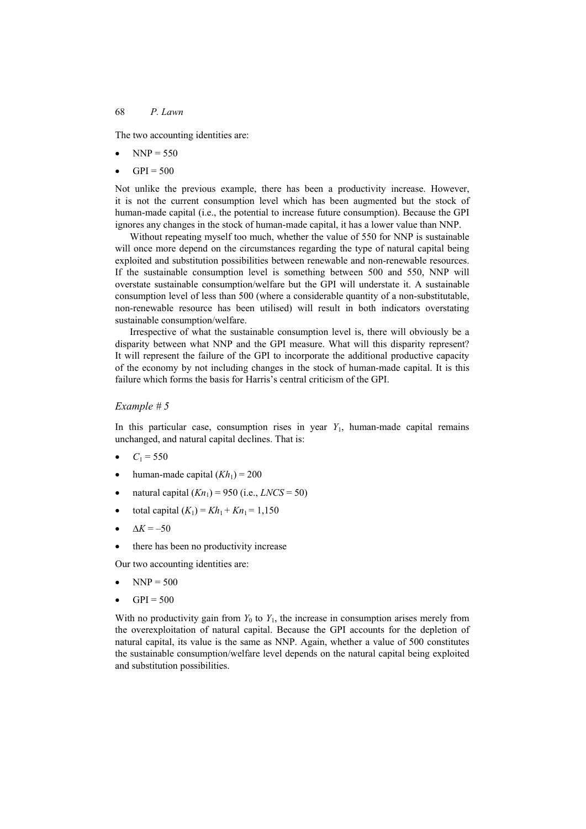The two accounting identities are:

- $NNP = 550$
- $GPI = 500$

Not unlike the previous example, there has been a productivity increase. However, it is not the current consumption level which has been augmented but the stock of human-made capital (i.e., the potential to increase future consumption). Because the GPI ignores any changes in the stock of human-made capital, it has a lower value than NNP.

Without repeating myself too much, whether the value of 550 for NNP is sustainable will once more depend on the circumstances regarding the type of natural capital being exploited and substitution possibilities between renewable and non-renewable resources. If the sustainable consumption level is something between 500 and 550, NNP will overstate sustainable consumption/welfare but the GPI will understate it. A sustainable consumption level of less than 500 (where a considerable quantity of a non-substitutable, non-renewable resource has been utilised) will result in both indicators overstating sustainable consumption/welfare.

Irrespective of what the sustainable consumption level is, there will obviously be a disparity between what NNP and the GPI measure. What will this disparity represent? It will represent the failure of the GPI to incorporate the additional productive capacity of the economy by not including changes in the stock of human-made capital. It is this failure which forms the basis for Harris's central criticism of the GPI.

#### *Example # 5*

In this particular case, consumption rises in year *Y*1, human-made capital remains unchanged, and natural capital declines. That is:

- $C_1 = 550$
- human-made capital  $(Kh_1) = 200$
- natural capital  $(Kn_1) = 950$  (i.e., *LNCS* = 50)
- total capital  $(K_1) = Kh_1 + Kn_1 = 1,150$
- $\Delta K = -50$
- there has been no productivity increase

Our two accounting identities are:

- $NNP = 500$
- $GPI = 500$

With no productivity gain from  $Y_0$  to  $Y_1$ , the increase in consumption arises merely from the overexploitation of natural capital. Because the GPI accounts for the depletion of natural capital, its value is the same as NNP. Again, whether a value of 500 constitutes the sustainable consumption/welfare level depends on the natural capital being exploited and substitution possibilities.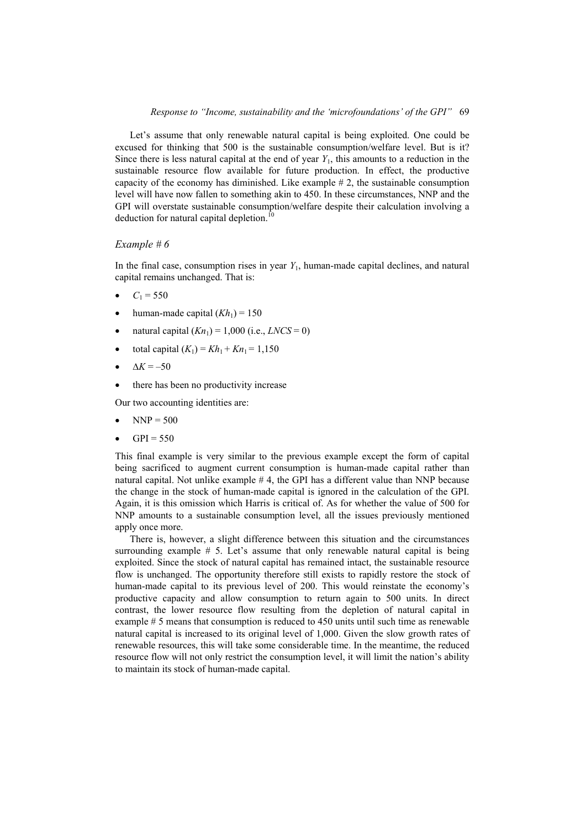Let's assume that only renewable natural capital is being exploited. One could be excused for thinking that 500 is the sustainable consumption/welfare level. But is it? Since there is less natural capital at the end of year  $Y_1$ , this amounts to a reduction in the sustainable resource flow available for future production. In effect, the productive capacity of the economy has diminished. Like example  $\# 2$ , the sustainable consumption level will have now fallen to something akin to 450. In these circumstances, NNP and the GPI will overstate sustainable consumption/welfare despite their calculation involving a deduction for natural capital depletion.<sup>10</sup>

#### *Example # 6*

In the final case, consumption rises in year *Y*1, human-made capital declines, and natural capital remains unchanged. That is:

- $C_1 = 550$
- human-made capital  $(Kh_1) = 150$
- natural capital  $(Kn_1) = 1,000$  (i.e., *LNCS* = 0)
- total capital  $(K_1) = Kh_1 + Kn_1 = 1,150$
- $\Delta K = -50$
- there has been no productivity increase

Our two accounting identities are:

- $NNP = 500$
- $GPI = 550$

This final example is very similar to the previous example except the form of capital being sacrificed to augment current consumption is human-made capital rather than natural capital. Not unlike example # 4, the GPI has a different value than NNP because the change in the stock of human-made capital is ignored in the calculation of the GPI. Again, it is this omission which Harris is critical of. As for whether the value of 500 for NNP amounts to a sustainable consumption level, all the issues previously mentioned apply once more.

There is, however, a slight difference between this situation and the circumstances surrounding example # 5. Let's assume that only renewable natural capital is being exploited. Since the stock of natural capital has remained intact, the sustainable resource flow is unchanged. The opportunity therefore still exists to rapidly restore the stock of human-made capital to its previous level of 200. This would reinstate the economy's productive capacity and allow consumption to return again to 500 units. In direct contrast, the lower resource flow resulting from the depletion of natural capital in example # 5 means that consumption is reduced to 450 units until such time as renewable natural capital is increased to its original level of 1,000. Given the slow growth rates of renewable resources, this will take some considerable time. In the meantime, the reduced resource flow will not only restrict the consumption level, it will limit the nation's ability to maintain its stock of human-made capital.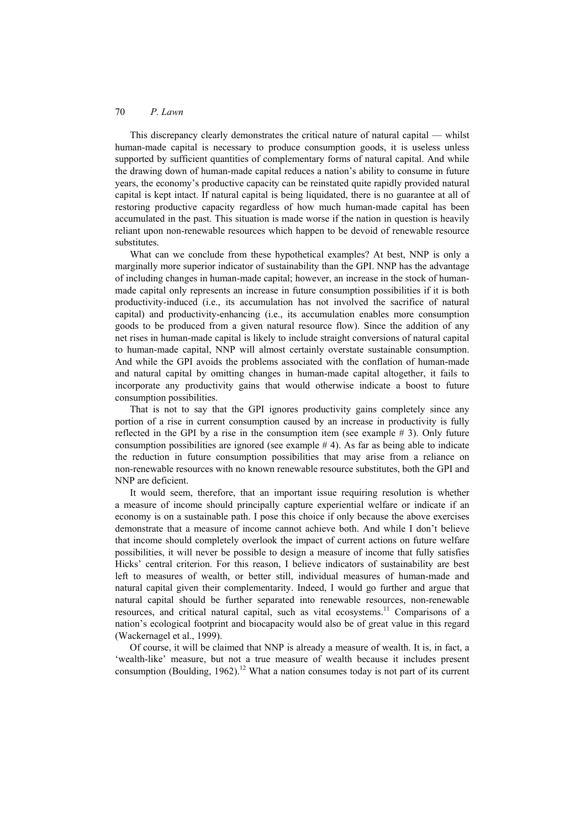This discrepancy clearly demonstrates the critical nature of natural capital — whilst human-made capital is necessary to produce consumption goods, it is useless unless supported by sufficient quantities of complementary forms of natural capital. And while the drawing down of human-made capital reduces a nation's ability to consume in future years, the economy's productive capacity can be reinstated quite rapidly provided natural capital is kept intact. If natural capital is being liquidated, there is no guarantee at all of restoring productive capacity regardless of how much human-made capital has been accumulated in the past. This situation is made worse if the nation in question is heavily reliant upon non-renewable resources which happen to be devoid of renewable resource substitutes.

What can we conclude from these hypothetical examples? At best, NNP is only a marginally more superior indicator of sustainability than the GPI. NNP has the advantage of including changes in human-made capital; however, an increase in the stock of humanmade capital only represents an increase in future consumption possibilities if it is both productivity-induced (i.e., its accumulation has not involved the sacrifice of natural capital) and productivity-enhancing (i.e., its accumulation enables more consumption goods to be produced from a given natural resource flow). Since the addition of any net rises in human-made capital is likely to include straight conversions of natural capital to human-made capital, NNP will almost certainly overstate sustainable consumption. And while the GPI avoids the problems associated with the conflation of human-made and natural capital by omitting changes in human-made capital altogether, it fails to incorporate any productivity gains that would otherwise indicate a boost to future consumption possibilities.

That is not to say that the GPI ignores productivity gains completely since any portion of a rise in current consumption caused by an increase in productivity is fully reflected in the GPI by a rise in the consumption item (see example # 3). Only future consumption possibilities are ignored (see example  $# 4$ ). As far as being able to indicate the reduction in future consumption possibilities that may arise from a reliance on non-renewable resources with no known renewable resource substitutes, both the GPI and NNP are deficient.

It would seem, therefore, that an important issue requiring resolution is whether a measure of income should principally capture experiential welfare or indicate if an economy is on a sustainable path. I pose this choice if only because the above exercises demonstrate that a measure of income cannot achieve both. And while I don't believe that income should completely overlook the impact of current actions on future welfare possibilities, it will never be possible to design a measure of income that fully satisfies Hicks' central criterion. For this reason, I believe indicators of sustainability are best left to measures of wealth, or better still, individual measures of human-made and natural capital given their complementarity. Indeed, I would go further and argue that natural capital should be further separated into renewable resources, non-renewable resources, and critical natural capital, such as vital ecosystems.<sup>11</sup> Comparisons of a nation's ecological footprint and biocapacity would also be of great value in this regard (Wackernagel et al., 1999).

Of course, it will be claimed that NNP is already a measure of wealth. It is, in fact, a 'wealth-like' measure, but not a true measure of wealth because it includes present consumption (Boulding, 1962).<sup>12</sup> What a nation consumes today is not part of its current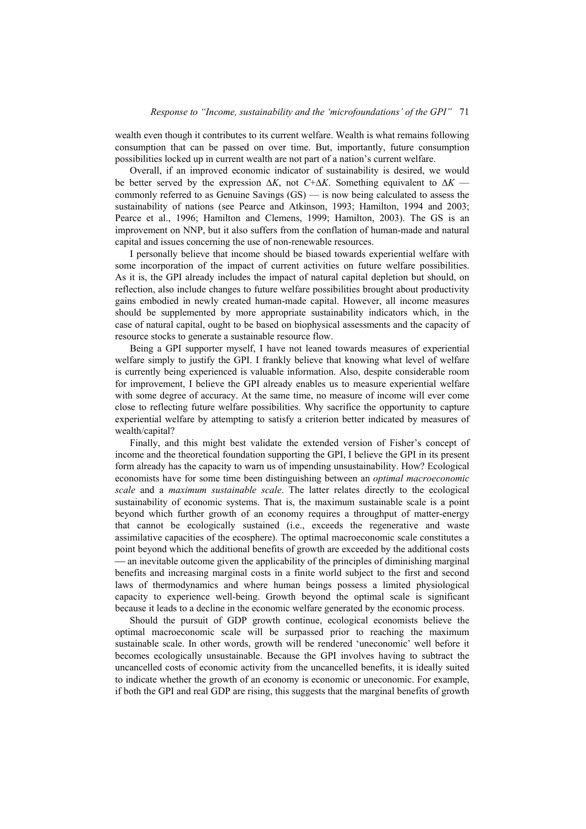wealth even though it contributes to its current welfare. Wealth is what remains following consumption that can be passed on over time. But, importantly, future consumption possibilities locked up in current wealth are not part of a nation's current welfare.

Overall, if an improved economic indicator of sustainability is desired, we would be better served by the expression  $\Delta K$ , not  $C + \Delta K$ . Something equivalent to  $\Delta K$  commonly referred to as Genuine Savings (GS) — is now being calculated to assess the sustainability of nations (see Pearce and Atkinson, 1993; Hamilton, 1994 and 2003; Pearce et al., 1996; Hamilton and Clemens, 1999; Hamilton, 2003). The GS is an improvement on NNP, but it also suffers from the conflation of human-made and natural capital and issues concerning the use of non-renewable resources.

I personally believe that income should be biased towards experiential welfare with some incorporation of the impact of current activities on future welfare possibilities. As it is, the GPI already includes the impact of natural capital depletion but should, on reflection, also include changes to future welfare possibilities brought about productivity gains embodied in newly created human-made capital. However, all income measures should be supplemented by more appropriate sustainability indicators which, in the case of natural capital, ought to be based on biophysical assessments and the capacity of resource stocks to generate a sustainable resource flow.

Being a GPI supporter myself, I have not leaned towards measures of experiential welfare simply to justify the GPI. I frankly believe that knowing what level of welfare is currently being experienced is valuable information. Also, despite considerable room for improvement, I believe the GPI already enables us to measure experiential welfare with some degree of accuracy. At the same time, no measure of income will ever come close to reflecting future welfare possibilities. Why sacrifice the opportunity to capture experiential welfare by attempting to satisfy a criterion better indicated by measures of wealth/capital?

Finally, and this might best validate the extended version of Fisher's concept of income and the theoretical foundation supporting the GPI, I believe the GPI in its present form already has the capacity to warn us of impending unsustainability. How? Ecological economists have for some time been distinguishing between an *optimal macroeconomic scale* and a *maximum sustainable scale*. The latter relates directly to the ecological sustainability of economic systems. That is, the maximum sustainable scale is a point beyond which further growth of an economy requires a throughput of matter-energy that cannot be ecologically sustained (i.e., exceeds the regenerative and waste assimilative capacities of the ecosphere). The optimal macroeconomic scale constitutes a point beyond which the additional benefits of growth are exceeded by the additional costs — an inevitable outcome given the applicability of the principles of diminishing marginal benefits and increasing marginal costs in a finite world subject to the first and second laws of thermodynamics and where human beings possess a limited physiological capacity to experience well-being. Growth beyond the optimal scale is significant because it leads to a decline in the economic welfare generated by the economic process.

Should the pursuit of GDP growth continue, ecological economists believe the optimal macroeconomic scale will be surpassed prior to reaching the maximum sustainable scale. In other words, growth will be rendered 'uneconomic' well before it becomes ecologically unsustainable. Because the GPI involves having to subtract the uncancelled costs of economic activity from the uncancelled benefits, it is ideally suited to indicate whether the growth of an economy is economic or uneconomic. For example, if both the GPI and real GDP are rising, this suggests that the marginal benefits of growth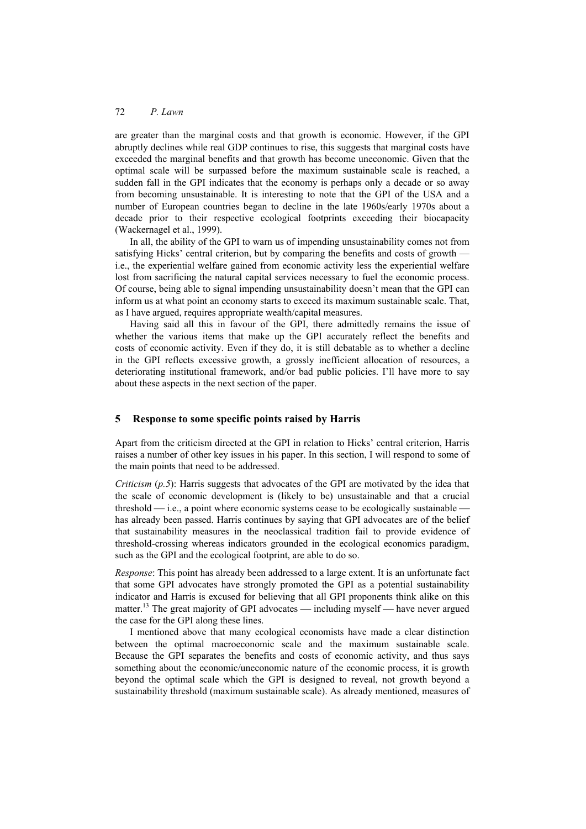are greater than the marginal costs and that growth is economic. However, if the GPI abruptly declines while real GDP continues to rise, this suggests that marginal costs have exceeded the marginal benefits and that growth has become uneconomic. Given that the optimal scale will be surpassed before the maximum sustainable scale is reached, a sudden fall in the GPI indicates that the economy is perhaps only a decade or so away from becoming unsustainable. It is interesting to note that the GPI of the USA and a number of European countries began to decline in the late 1960s/early 1970s about a decade prior to their respective ecological footprints exceeding their biocapacity (Wackernagel et al., 1999).

In all, the ability of the GPI to warn us of impending unsustainability comes not from satisfying Hicks' central criterion, but by comparing the benefits and costs of growth i.e., the experiential welfare gained from economic activity less the experiential welfare lost from sacrificing the natural capital services necessary to fuel the economic process. Of course, being able to signal impending unsustainability doesn't mean that the GPI can inform us at what point an economy starts to exceed its maximum sustainable scale. That, as I have argued, requires appropriate wealth/capital measures.

Having said all this in favour of the GPI, there admittedly remains the issue of whether the various items that make up the GPI accurately reflect the benefits and costs of economic activity. Even if they do, it is still debatable as to whether a decline in the GPI reflects excessive growth, a grossly inefficient allocation of resources, a deteriorating institutional framework, and/or bad public policies. I'll have more to say about these aspects in the next section of the paper.

## **5 Response to some specific points raised by Harris**

Apart from the criticism directed at the GPI in relation to Hicks' central criterion, Harris raises a number of other key issues in his paper. In this section, I will respond to some of the main points that need to be addressed.

*Criticism* (*p.5*): Harris suggests that advocates of the GPI are motivated by the idea that the scale of economic development is (likely to be) unsustainable and that a crucial threshold  $\frac{di}{i}$  i.e., a point where economic systems cease to be ecologically sustainable  $\frac{di}{i}$ has already been passed. Harris continues by saying that GPI advocates are of the belief that sustainability measures in the neoclassical tradition fail to provide evidence of threshold-crossing whereas indicators grounded in the ecological economics paradigm, such as the GPI and the ecological footprint, are able to do so.

*Response*: This point has already been addressed to a large extent. It is an unfortunate fact that some GPI advocates have strongly promoted the GPI as a potential sustainability indicator and Harris is excused for believing that all GPI proponents think alike on this matter.<sup>13</sup> The great majority of GPI advocates — including myself — have never argued the case for the GPI along these lines.

I mentioned above that many ecological economists have made a clear distinction between the optimal macroeconomic scale and the maximum sustainable scale. Because the GPI separates the benefits and costs of economic activity, and thus says something about the economic/uneconomic nature of the economic process, it is growth beyond the optimal scale which the GPI is designed to reveal, not growth beyond a sustainability threshold (maximum sustainable scale). As already mentioned, measures of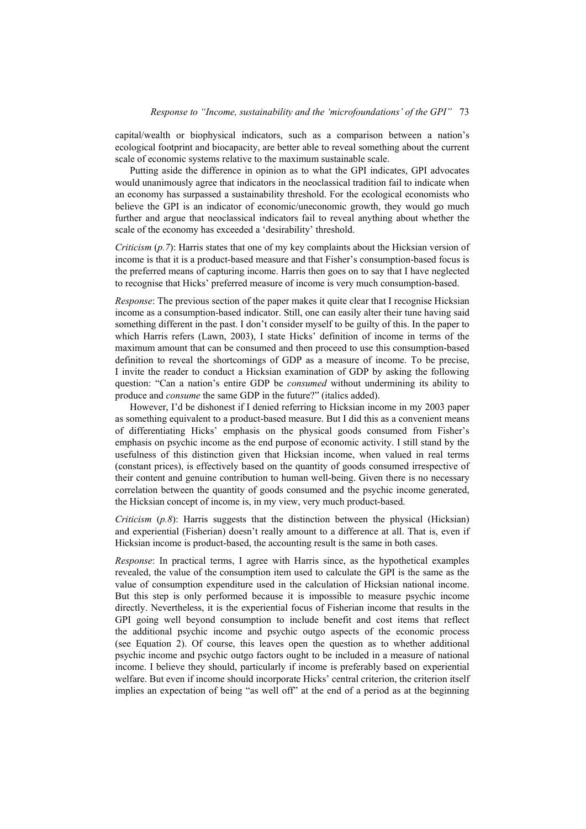capital/wealth or biophysical indicators, such as a comparison between a nation's ecological footprint and biocapacity, are better able to reveal something about the current scale of economic systems relative to the maximum sustainable scale.

Putting aside the difference in opinion as to what the GPI indicates, GPI advocates would unanimously agree that indicators in the neoclassical tradition fail to indicate when an economy has surpassed a sustainability threshold. For the ecological economists who believe the GPI is an indicator of economic/uneconomic growth, they would go much further and argue that neoclassical indicators fail to reveal anything about whether the scale of the economy has exceeded a 'desirability' threshold.

*Criticism* (*p.7*): Harris states that one of my key complaints about the Hicksian version of income is that it is a product-based measure and that Fisher's consumption-based focus is the preferred means of capturing income. Harris then goes on to say that I have neglected to recognise that Hicks' preferred measure of income is very much consumption-based.

*Response*: The previous section of the paper makes it quite clear that I recognise Hicksian income as a consumption-based indicator. Still, one can easily alter their tune having said something different in the past. I don't consider myself to be guilty of this. In the paper to which Harris refers (Lawn, 2003), I state Hicks' definition of income in terms of the maximum amount that can be consumed and then proceed to use this consumption-based definition to reveal the shortcomings of GDP as a measure of income. To be precise, I invite the reader to conduct a Hicksian examination of GDP by asking the following question: "Can a nation's entire GDP be *consumed* without undermining its ability to produce and *consume* the same GDP in the future?" (italics added).

However, I'd be dishonest if I denied referring to Hicksian income in my 2003 paper as something equivalent to a product-based measure. But I did this as a convenient means of differentiating Hicks' emphasis on the physical goods consumed from Fisher's emphasis on psychic income as the end purpose of economic activity. I still stand by the usefulness of this distinction given that Hicksian income, when valued in real terms (constant prices), is effectively based on the quantity of goods consumed irrespective of their content and genuine contribution to human well-being. Given there is no necessary correlation between the quantity of goods consumed and the psychic income generated, the Hicksian concept of income is, in my view, very much product-based.

*Criticism* (*p.8*): Harris suggests that the distinction between the physical (Hicksian) and experiential (Fisherian) doesn't really amount to a difference at all. That is, even if Hicksian income is product-based, the accounting result is the same in both cases.

*Response*: In practical terms, I agree with Harris since, as the hypothetical examples revealed, the value of the consumption item used to calculate the GPI is the same as the value of consumption expenditure used in the calculation of Hicksian national income. But this step is only performed because it is impossible to measure psychic income directly. Nevertheless, it is the experiential focus of Fisherian income that results in the GPI going well beyond consumption to include benefit and cost items that reflect the additional psychic income and psychic outgo aspects of the economic process (see Equation 2). Of course, this leaves open the question as to whether additional psychic income and psychic outgo factors ought to be included in a measure of national income. I believe they should, particularly if income is preferably based on experiential welfare. But even if income should incorporate Hicks' central criterion, the criterion itself implies an expectation of being "as well off" at the end of a period as at the beginning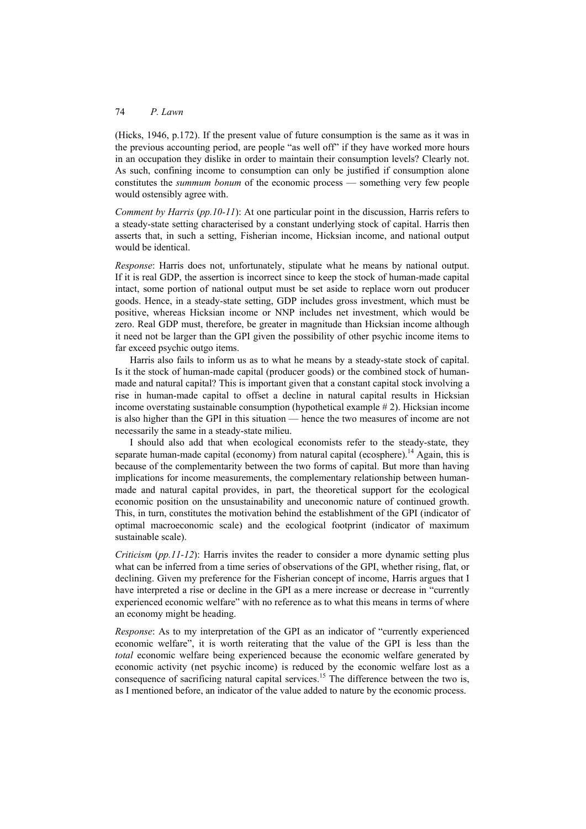(Hicks, 1946, p.172). If the present value of future consumption is the same as it was in the previous accounting period, are people "as well off" if they have worked more hours in an occupation they dislike in order to maintain their consumption levels? Clearly not. As such, confining income to consumption can only be justified if consumption alone constitutes the *summum bonum* of the economic process — something very few people would ostensibly agree with.

*Comment by Harris* (*pp.10-11*): At one particular point in the discussion, Harris refers to a steady-state setting characterised by a constant underlying stock of capital. Harris then asserts that, in such a setting, Fisherian income, Hicksian income, and national output would be identical.

*Response*: Harris does not, unfortunately, stipulate what he means by national output. If it is real GDP, the assertion is incorrect since to keep the stock of human-made capital intact, some portion of national output must be set aside to replace worn out producer goods. Hence, in a steady-state setting, GDP includes gross investment, which must be positive, whereas Hicksian income or NNP includes net investment, which would be zero. Real GDP must, therefore, be greater in magnitude than Hicksian income although it need not be larger than the GPI given the possibility of other psychic income items to far exceed psychic outgo items.

Harris also fails to inform us as to what he means by a steady-state stock of capital. Is it the stock of human-made capital (producer goods) or the combined stock of humanmade and natural capital? This is important given that a constant capital stock involving a rise in human-made capital to offset a decline in natural capital results in Hicksian income overstating sustainable consumption (hypothetical example # 2). Hicksian income is also higher than the GPI in this situation — hence the two measures of income are not necessarily the same in a steady-state milieu.

I should also add that when ecological economists refer to the steady-state, they separate human-made capital (economy) from natural capital (ecosphere).<sup>14</sup> Again, this is because of the complementarity between the two forms of capital. But more than having implications for income measurements, the complementary relationship between humanmade and natural capital provides, in part, the theoretical support for the ecological economic position on the unsustainability and uneconomic nature of continued growth. This, in turn, constitutes the motivation behind the establishment of the GPI (indicator of optimal macroeconomic scale) and the ecological footprint (indicator of maximum sustainable scale).

*Criticism* (*pp.11-12*): Harris invites the reader to consider a more dynamic setting plus what can be inferred from a time series of observations of the GPI, whether rising, flat, or declining. Given my preference for the Fisherian concept of income, Harris argues that I have interpreted a rise or decline in the GPI as a mere increase or decrease in "currently experienced economic welfare" with no reference as to what this means in terms of where an economy might be heading.

*Response*: As to my interpretation of the GPI as an indicator of "currently experienced economic welfare", it is worth reiterating that the value of the GPI is less than the *total* economic welfare being experienced because the economic welfare generated by economic activity (net psychic income) is reduced by the economic welfare lost as a consequence of sacrificing natural capital services.<sup>15</sup> The difference between the two is, as I mentioned before, an indicator of the value added to nature by the economic process.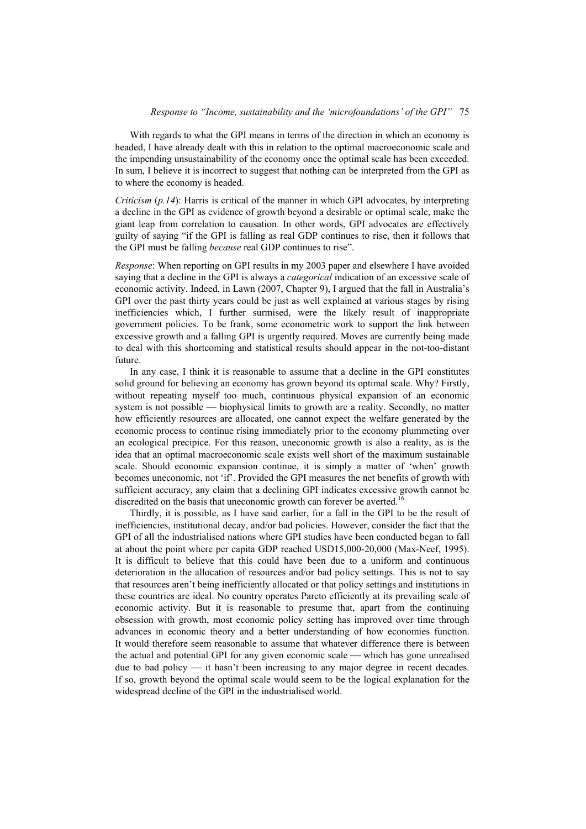With regards to what the GPI means in terms of the direction in which an economy is headed, I have already dealt with this in relation to the optimal macroeconomic scale and the impending unsustainability of the economy once the optimal scale has been exceeded. In sum, I believe it is incorrect to suggest that nothing can be interpreted from the GPI as to where the economy is headed.

*Criticism* (*p.14*): Harris is critical of the manner in which GPI advocates, by interpreting a decline in the GPI as evidence of growth beyond a desirable or optimal scale, make the giant leap from correlation to causation. In other words, GPI advocates are effectively guilty of saying "if the GPI is falling as real GDP continues to rise, then it follows that the GPI must be falling *because* real GDP continues to rise".

*Response*: When reporting on GPI results in my 2003 paper and elsewhere I have avoided saying that a decline in the GPI is always a *categorical* indication of an excessive scale of economic activity. Indeed, in Lawn (2007, Chapter 9), I argued that the fall in Australia's GPI over the past thirty years could be just as well explained at various stages by rising inefficiencies which, I further surmised, were the likely result of inappropriate government policies. To be frank, some econometric work to support the link between excessive growth and a falling GPI is urgently required. Moves are currently being made to deal with this shortcoming and statistical results should appear in the not-too-distant future.

In any case, I think it is reasonable to assume that a decline in the GPI constitutes solid ground for believing an economy has grown beyond its optimal scale. Why? Firstly, without repeating myself too much, continuous physical expansion of an economic system is not possible — biophysical limits to growth are a reality. Secondly, no matter how efficiently resources are allocated, one cannot expect the welfare generated by the economic process to continue rising immediately prior to the economy plummeting over an ecological precipice. For this reason, uneconomic growth is also a reality, as is the idea that an optimal macroeconomic scale exists well short of the maximum sustainable scale. Should economic expansion continue, it is simply a matter of 'when' growth becomes uneconomic, not 'if'. Provided the GPI measures the net benefits of growth with sufficient accuracy, any claim that a declining GPI indicates excessive growth cannot be discredited on the basis that uneconomic growth can forever be averted.<sup>16</sup>

Thirdly, it is possible, as I have said earlier, for a fall in the GPI to be the result of inefficiencies, institutional decay, and/or bad policies. However, consider the fact that the GPI of all the industrialised nations where GPI studies have been conducted began to fall at about the point where per capita GDP reached USD15,000-20,000 (Max-Neef, 1995). It is difficult to believe that this could have been due to a uniform and continuous deterioration in the allocation of resources and/or bad policy settings. This is not to say that resources aren't being inefficiently allocated or that policy settings and institutions in these countries are ideal. No country operates Pareto efficiently at its prevailing scale of economic activity. But it is reasonable to presume that, apart from the continuing obsession with growth, most economic policy setting has improved over time through advances in economic theory and a better understanding of how economies function. It would therefore seem reasonable to assume that whatever difference there is between the actual and potential GPI for any given economic scale — which has gone unrealised due to bad policy  $-$  it hasn't been increasing to any major degree in recent decades. If so, growth beyond the optimal scale would seem to be the logical explanation for the widespread decline of the GPI in the industrialised world.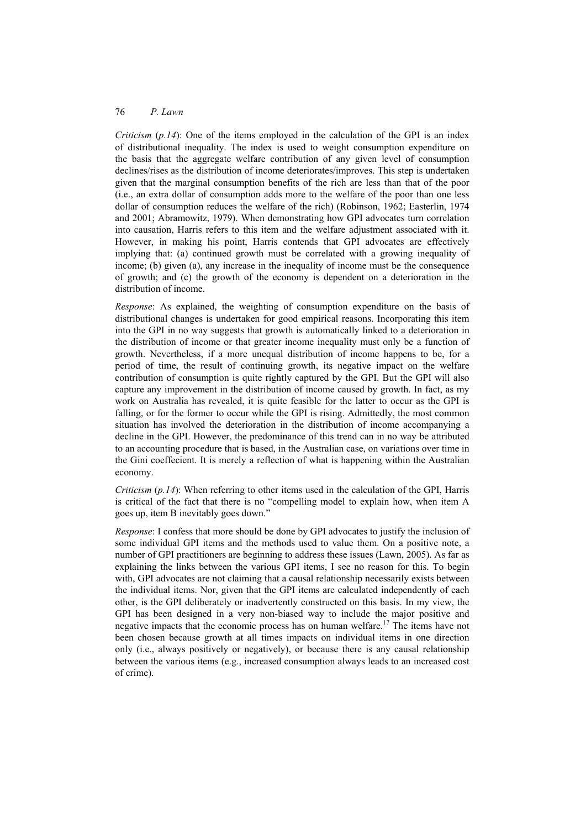*Criticism* (*p.14*): One of the items employed in the calculation of the GPI is an index of distributional inequality. The index is used to weight consumption expenditure on the basis that the aggregate welfare contribution of any given level of consumption declines/rises as the distribution of income deteriorates/improves. This step is undertaken given that the marginal consumption benefits of the rich are less than that of the poor (i.e., an extra dollar of consumption adds more to the welfare of the poor than one less dollar of consumption reduces the welfare of the rich) (Robinson, 1962; Easterlin, 1974 and 2001; Abramowitz, 1979). When demonstrating how GPI advocates turn correlation into causation, Harris refers to this item and the welfare adjustment associated with it. However, in making his point, Harris contends that GPI advocates are effectively implying that: (a) continued growth must be correlated with a growing inequality of income; (b) given (a), any increase in the inequality of income must be the consequence of growth; and (c) the growth of the economy is dependent on a deterioration in the distribution of income.

*Response*: As explained, the weighting of consumption expenditure on the basis of distributional changes is undertaken for good empirical reasons. Incorporating this item into the GPI in no way suggests that growth is automatically linked to a deterioration in the distribution of income or that greater income inequality must only be a function of growth. Nevertheless, if a more unequal distribution of income happens to be, for a period of time, the result of continuing growth, its negative impact on the welfare contribution of consumption is quite rightly captured by the GPI. But the GPI will also capture any improvement in the distribution of income caused by growth. In fact, as my work on Australia has revealed, it is quite feasible for the latter to occur as the GPI is falling, or for the former to occur while the GPI is rising. Admittedly, the most common situation has involved the deterioration in the distribution of income accompanying a decline in the GPI. However, the predominance of this trend can in no way be attributed to an accounting procedure that is based, in the Australian case, on variations over time in the Gini coeffecient. It is merely a reflection of what is happening within the Australian economy.

*Criticism* (*p.14*): When referring to other items used in the calculation of the GPI, Harris is critical of the fact that there is no "compelling model to explain how, when item A goes up, item B inevitably goes down."

*Response*: I confess that more should be done by GPI advocates to justify the inclusion of some individual GPI items and the methods used to value them. On a positive note, a number of GPI practitioners are beginning to address these issues (Lawn, 2005). As far as explaining the links between the various GPI items, I see no reason for this. To begin with, GPI advocates are not claiming that a causal relationship necessarily exists between the individual items. Nor, given that the GPI items are calculated independently of each other, is the GPI deliberately or inadvertently constructed on this basis. In my view, the GPI has been designed in a very non-biased way to include the major positive and negative impacts that the economic process has on human welfare.<sup>17</sup> The items have not been chosen because growth at all times impacts on individual items in one direction only (i.e., always positively or negatively), or because there is any causal relationship between the various items (e.g., increased consumption always leads to an increased cost of crime).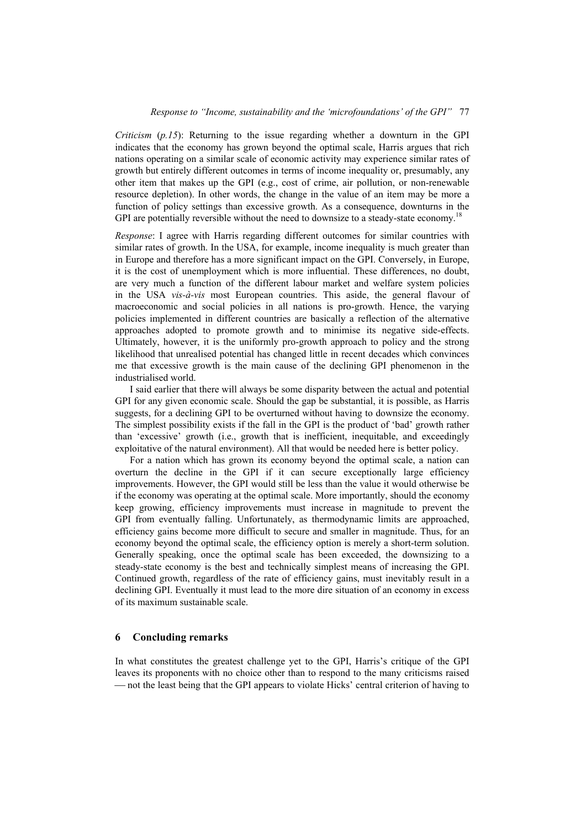*Criticism* (*p.15*): Returning to the issue regarding whether a downturn in the GPI indicates that the economy has grown beyond the optimal scale, Harris argues that rich nations operating on a similar scale of economic activity may experience similar rates of growth but entirely different outcomes in terms of income inequality or, presumably, any other item that makes up the GPI (e.g., cost of crime, air pollution, or non-renewable resource depletion). In other words, the change in the value of an item may be more a function of policy settings than excessive growth. As a consequence, downturns in the GPI are potentially reversible without the need to downsize to a steady-state economy.<sup>18</sup>

*Response*: I agree with Harris regarding different outcomes for similar countries with similar rates of growth. In the USA, for example, income inequality is much greater than in Europe and therefore has a more significant impact on the GPI. Conversely, in Europe, it is the cost of unemployment which is more influential. These differences, no doubt, are very much a function of the different labour market and welfare system policies in the USA *vis-à-vis* most European countries. This aside, the general flavour of macroeconomic and social policies in all nations is pro-growth. Hence, the varying policies implemented in different countries are basically a reflection of the alternative approaches adopted to promote growth and to minimise its negative side-effects. Ultimately, however, it is the uniformly pro-growth approach to policy and the strong likelihood that unrealised potential has changed little in recent decades which convinces me that excessive growth is the main cause of the declining GPI phenomenon in the industrialised world.

I said earlier that there will always be some disparity between the actual and potential GPI for any given economic scale. Should the gap be substantial, it is possible, as Harris suggests, for a declining GPI to be overturned without having to downsize the economy. The simplest possibility exists if the fall in the GPI is the product of 'bad' growth rather than 'excessive' growth (i.e., growth that is inefficient, inequitable, and exceedingly exploitative of the natural environment). All that would be needed here is better policy.

For a nation which has grown its economy beyond the optimal scale, a nation can overturn the decline in the GPI if it can secure exceptionally large efficiency improvements. However, the GPI would still be less than the value it would otherwise be if the economy was operating at the optimal scale. More importantly, should the economy keep growing, efficiency improvements must increase in magnitude to prevent the GPI from eventually falling. Unfortunately, as thermodynamic limits are approached, efficiency gains become more difficult to secure and smaller in magnitude. Thus, for an economy beyond the optimal scale, the efficiency option is merely a short-term solution. Generally speaking, once the optimal scale has been exceeded, the downsizing to a steady-state economy is the best and technically simplest means of increasing the GPI. Continued growth, regardless of the rate of efficiency gains, must inevitably result in a declining GPI. Eventually it must lead to the more dire situation of an economy in excess of its maximum sustainable scale.

## **6 Concluding remarks**

In what constitutes the greatest challenge yet to the GPI, Harris's critique of the GPI leaves its proponents with no choice other than to respond to the many criticisms raised ⎯ not the least being that the GPI appears to violate Hicks' central criterion of having to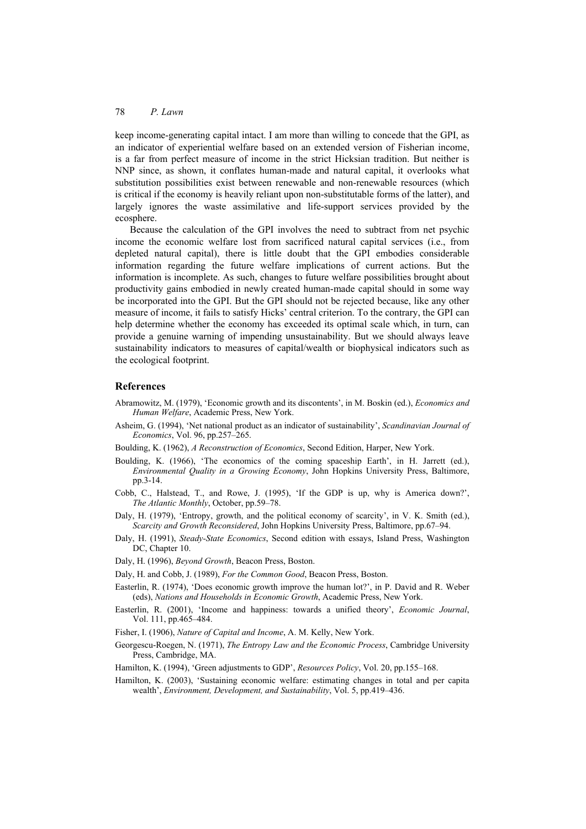keep income-generating capital intact. I am more than willing to concede that the GPI, as an indicator of experiential welfare based on an extended version of Fisherian income, is a far from perfect measure of income in the strict Hicksian tradition. But neither is NNP since, as shown, it conflates human-made and natural capital, it overlooks what substitution possibilities exist between renewable and non-renewable resources (which is critical if the economy is heavily reliant upon non-substitutable forms of the latter), and largely ignores the waste assimilative and life-support services provided by the ecosphere.

Because the calculation of the GPI involves the need to subtract from net psychic income the economic welfare lost from sacrificed natural capital services (i.e., from depleted natural capital), there is little doubt that the GPI embodies considerable information regarding the future welfare implications of current actions. But the information is incomplete. As such, changes to future welfare possibilities brought about productivity gains embodied in newly created human-made capital should in some way be incorporated into the GPI. But the GPI should not be rejected because, like any other measure of income, it fails to satisfy Hicks' central criterion. To the contrary, the GPI can help determine whether the economy has exceeded its optimal scale which, in turn, can provide a genuine warning of impending unsustainability. But we should always leave sustainability indicators to measures of capital/wealth or biophysical indicators such as the ecological footprint.

#### **References**

- Abramowitz, M. (1979), 'Economic growth and its discontents', in M. Boskin (ed.), *Economics and Human Welfare*, Academic Press, New York.
- Asheim, G. (1994), 'Net national product as an indicator of sustainability', *Scandinavian Journal of Economics*, Vol. 96, pp.257–265.
- Boulding, K. (1962), *A Reconstruction of Economics*, Second Edition, Harper, New York.
- Boulding, K. (1966), 'The economics of the coming spaceship Earth', in H. Jarrett (ed.), *Environmental Quality in a Growing Economy*, John Hopkins University Press, Baltimore, pp.3-14.
- Cobb, C., Halstead, T., and Rowe, J. (1995), 'If the GDP is up, why is America down?', *The Atlantic Monthly*, October, pp.59–78.
- Daly, H. (1979), 'Entropy, growth, and the political economy of scarcity', in V. K. Smith (ed.), *Scarcity and Growth Reconsidered*, John Hopkins University Press, Baltimore, pp.67–94.
- Daly, H. (1991), *Steady-State Economics*, Second edition with essays, Island Press, Washington DC, Chapter 10.
- Daly, H. (1996), *Beyond Growth*, Beacon Press, Boston.
- Daly, H. and Cobb, J. (1989), *For the Common Good*, Beacon Press, Boston.
- Easterlin, R. (1974), 'Does economic growth improve the human lot?', in P. David and R. Weber (eds), *Nations and Households in Economic Growth*, Academic Press, New York.
- Easterlin, R. (2001), 'Income and happiness: towards a unified theory', *Economic Journal*, Vol. 111, pp.465–484.
- Fisher, I. (1906), *Nature of Capital and Income*, A. M. Kelly, New York.
- Georgescu-Roegen, N. (1971), *The Entropy Law and the Economic Process*, Cambridge University Press, Cambridge, MA.
- Hamilton, K. (1994), 'Green adjustments to GDP', *Resources Policy*, Vol. 20, pp.155–168.
- Hamilton, K. (2003), 'Sustaining economic welfare: estimating changes in total and per capita wealth', *Environment, Development, and Sustainability*, Vol. 5, pp.419–436.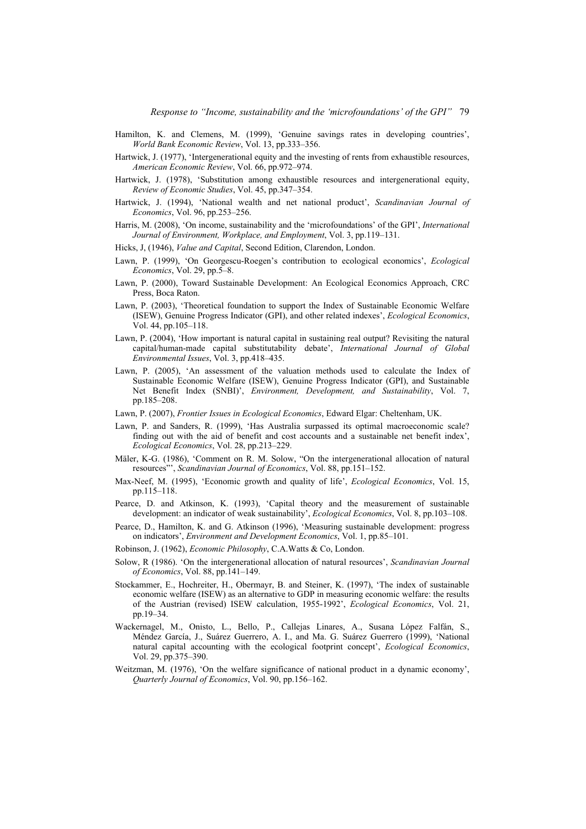- Hamilton, K. and Clemens, M. (1999), 'Genuine savings rates in developing countries', *World Bank Economic Review*, Vol. 13, pp.333–356.
- Hartwick, J. (1977), 'Intergenerational equity and the investing of rents from exhaustible resources, *American Economic Review*, Vol. 66, pp.972–974.
- Hartwick, J. (1978), 'Substitution among exhaustible resources and intergenerational equity, *Review of Economic Studies*, Vol. 45, pp.347–354.
- Hartwick, J. (1994), 'National wealth and net national product', *Scandinavian Journal of Economics*, Vol. 96, pp.253–256.
- Harris, M. (2008), 'On income, sustainability and the 'microfoundations' of the GPI', *International Journal of Environment, Workplace, and Employment*, Vol. 3, pp.119–131.
- Hicks, J, (1946), *Value and Capital*, Second Edition, Clarendon, London.
- Lawn, P. (1999), 'On Georgescu-Roegen's contribution to ecological economics', *Ecological Economics*, Vol. 29, pp.5–8.
- Lawn, P. (2000), Toward Sustainable Development: An Ecological Economics Approach, CRC Press, Boca Raton.
- Lawn, P. (2003), 'Theoretical foundation to support the Index of Sustainable Economic Welfare (ISEW), Genuine Progress Indicator (GPI), and other related indexes', *Ecological Economics*, Vol. 44, pp.105–118.
- Lawn, P. (2004), 'How important is natural capital in sustaining real output? Revisiting the natural capital/human-made capital substitutability debate', *International Journal of Global Environmental Issues*, Vol. 3, pp.418–435.
- Lawn, P. (2005), 'An assessment of the valuation methods used to calculate the Index of Sustainable Economic Welfare (ISEW), Genuine Progress Indicator (GPI), and Sustainable Net Benefit Index (SNBI)', *Environment, Development, and Sustainability*, Vol. 7, pp.185–208.
- Lawn, P. (2007), *Frontier Issues in Ecological Economics*, Edward Elgar: Cheltenham, UK.
- Lawn, P. and Sanders, R. (1999), 'Has Australia surpassed its optimal macroeconomic scale? finding out with the aid of benefit and cost accounts and a sustainable net benefit index', *Ecological Economics*, Vol. 28, pp.213–229.
- Mäler, K-G. (1986), 'Comment on R. M. Solow, "On the intergenerational allocation of natural resources"', *Scandinavian Journal of Economics*, Vol. 88, pp.151–152.
- Max-Neef, M. (1995), 'Economic growth and quality of life', *Ecological Economics*, Vol. 15, pp.115–118.
- Pearce, D. and Atkinson, K. (1993), 'Capital theory and the measurement of sustainable development: an indicator of weak sustainability', *Ecological Economics*, Vol. 8, pp.103–108.
- Pearce, D., Hamilton, K. and G. Atkinson (1996), 'Measuring sustainable development: progress on indicators', *Environment and Development Economics*, Vol. 1, pp.85–101.
- Robinson, J. (1962), *Economic Philosophy*, C.A.Watts & Co, London.
- Solow, R (1986). 'On the intergenerational allocation of natural resources', *Scandinavian Journal of Economics*, Vol. 88, pp.141–149.
- Stockammer, E., Hochreiter, H., Obermayr, B. and Steiner, K. (1997), 'The index of sustainable economic welfare (ISEW) as an alternative to GDP in measuring economic welfare: the results of the Austrian (revised) ISEW calculation, 1955-1992', *Ecological Economics*, Vol. 21, pp.19–34.
- Wackernagel, M., Onisto, L., Bello, P., Callejas Linares, A., Susana López Falfán, S., Méndez García, J., Suárez Guerrero, A. I., and Ma. G. Suárez Guerrero (1999), 'National natural capital accounting with the ecological footprint concept', *Ecological Economics*, Vol. 29, pp.375–390.
- Weitzman, M. (1976), 'On the welfare significance of national product in a dynamic economy', *Quarterly Journal of Economics*, Vol. 90, pp.156–162.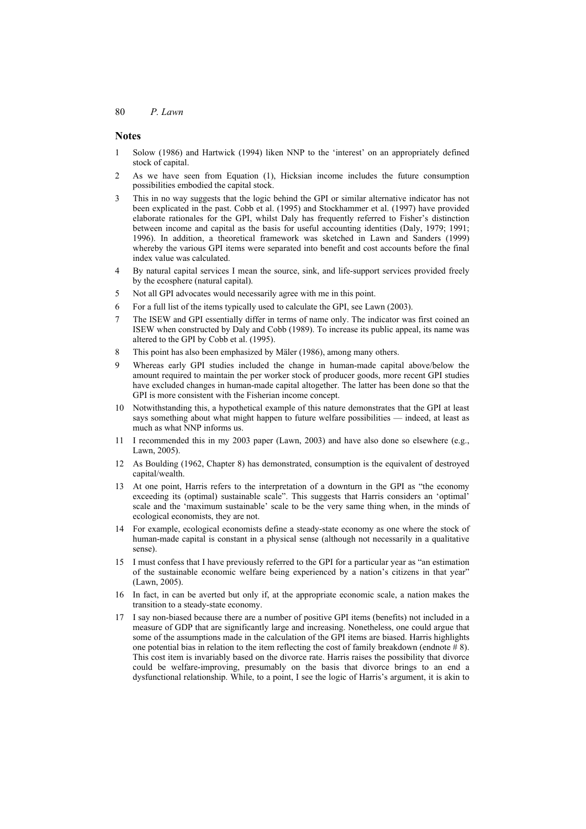#### **Notes**

- 1 Solow (1986) and Hartwick (1994) liken NNP to the 'interest' on an appropriately defined stock of capital.
- 2 As we have seen from Equation (1), Hicksian income includes the future consumption possibilities embodied the capital stock.
- 3 This in no way suggests that the logic behind the GPI or similar alternative indicator has not been explicated in the past. Cobb et al. (1995) and Stockhammer et al. (1997) have provided elaborate rationales for the GPI, whilst Daly has frequently referred to Fisher's distinction between income and capital as the basis for useful accounting identities (Daly, 1979; 1991; 1996). In addition, a theoretical framework was sketched in Lawn and Sanders (1999) whereby the various GPI items were separated into benefit and cost accounts before the final index value was calculated.
- 4 By natural capital services I mean the source, sink, and life-support services provided freely by the ecosphere (natural capital).
- 5 Not all GPI advocates would necessarily agree with me in this point.
- 6 For a full list of the items typically used to calculate the GPI, see Lawn (2003).
- 7 The ISEW and GPI essentially differ in terms of name only. The indicator was first coined an ISEW when constructed by Daly and Cobb (1989). To increase its public appeal, its name was altered to the GPI by Cobb et al. (1995).
- 8 This point has also been emphasized by Mäler (1986), among many others.
- 9 Whereas early GPI studies included the change in human-made capital above/below the amount required to maintain the per worker stock of producer goods, more recent GPI studies have excluded changes in human-made capital altogether. The latter has been done so that the GPI is more consistent with the Fisherian income concept.
- 10 Notwithstanding this, a hypothetical example of this nature demonstrates that the GPI at least says something about what might happen to future welfare possibilities — indeed, at least as much as what NNP informs us.
- 11 I recommended this in my 2003 paper (Lawn, 2003) and have also done so elsewhere (e.g., Lawn, 2005).
- 12 As Boulding (1962, Chapter 8) has demonstrated, consumption is the equivalent of destroyed capital/wealth.
- 13 At one point, Harris refers to the interpretation of a downturn in the GPI as "the economy exceeding its (optimal) sustainable scale". This suggests that Harris considers an 'optimal' scale and the 'maximum sustainable' scale to be the very same thing when, in the minds of ecological economists, they are not.
- 14 For example, ecological economists define a steady-state economy as one where the stock of human-made capital is constant in a physical sense (although not necessarily in a qualitative sense).
- 15 I must confess that I have previously referred to the GPI for a particular year as "an estimation of the sustainable economic welfare being experienced by a nation's citizens in that year" (Lawn, 2005).
- 16 In fact, in can be averted but only if, at the appropriate economic scale, a nation makes the transition to a steady-state economy.
- 17 I say non-biased because there are a number of positive GPI items (benefits) not included in a measure of GDP that are significantly large and increasing. Nonetheless, one could argue that some of the assumptions made in the calculation of the GPI items are biased. Harris highlights one potential bias in relation to the item reflecting the cost of family breakdown (endnote  $\# 8$ ). This cost item is invariably based on the divorce rate. Harris raises the possibility that divorce could be welfare-improving, presumably on the basis that divorce brings to an end a dysfunctional relationship. While, to a point, I see the logic of Harris's argument, it is akin to